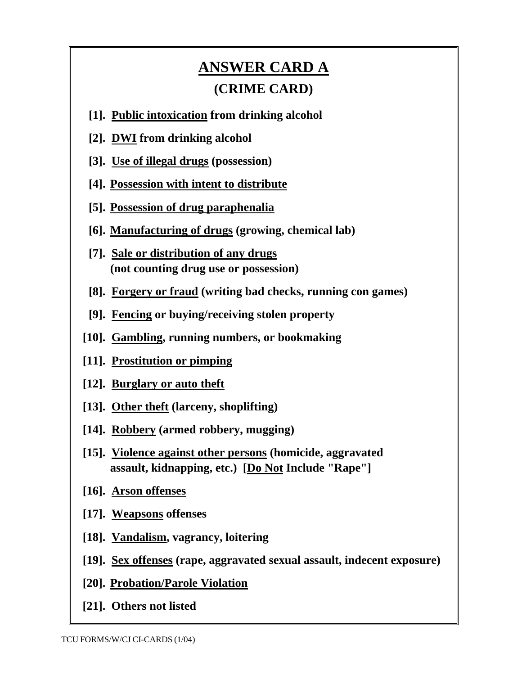## **ANSWER CARD A (CRIME CARD)**

- **[1]. Public intoxication from drinking alcohol**
- **[2]. DWI from drinking alcohol**
- **[3]. Use of illegal drugs (possession)**
- **[4]. Possession with intent to distribute**
- **[5]. Possession of drug paraphenalia**
- **[6]. Manufacturing of drugs (growing, chemical lab)**
- **[7]. Sale or distribution of any drugs (not counting drug use or possession)**
- **[8]. Forgery or fraud (writing bad checks, running con games)**
- **[9]. Fencing or buying/receiving stolen property**
- **[10]. Gambling, running numbers, or bookmaking**
- **[11]. Prostitution or pimping**
- **[12]. Burglary or auto theft**
- **[13]. Other theft (larceny, shoplifting)**
- **[14]. Robbery (armed robbery, mugging)**
- **[15]. Violence against other persons (homicide, aggravated assault, kidnapping, etc.) [Do Not Include "Rape"]**
- **[16]. Arson offenses**
- **[17]. Weapsons offenses**
- **[18]. Vandalism, vagrancy, loitering**
- **[19]. Sex offenses (rape, aggravated sexual assault, indecent exposure)**
- **[20]. Probation/Parole Violation**
- **[21]. Others not listed**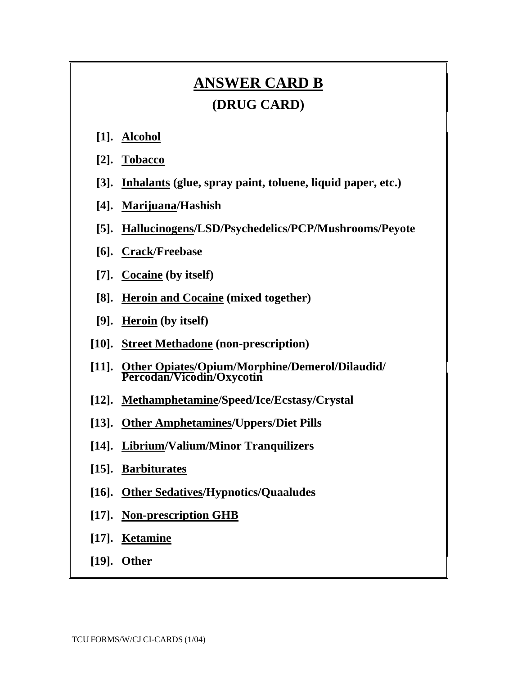## **ANSWER CARD B**

## **(DRUG CARD)**

- **[1]. Alcohol**
- **[2]. Tobacco**
- **[3]. Inhalants (glue, spray paint, toluene, liquid paper, etc.)**
- **[4]. Marijuana/Hashish**
- **[5]. Hallucinogens/LSD/Psychedelics/PCP/Mushrooms/Peyote**
- **[6]. Crack/Freebase**
- **[7]. Cocaine (by itself)**
- **[8]. Heroin and Cocaine (mixed together)**
- **[9]. Heroin (by itself)**
- **[10]. Street Methadone (non-prescription)**
- **[11]. Other Opiates/Opium/Morphine/Demerol/Dilaudid/ Percodan/Vicodin/Oxycotin**
- **[12]. Methamphetamine/Speed/Ice/Ecstasy/Crystal**
- **[13]. Other Amphetamines/Uppers/Diet Pills**
- **[14]. Librium/Valium/Minor Tranquilizers**
- **[15]. Barbiturates**
- **[16]. Other Sedatives/Hypnotics/Quaaludes**
- **[17]. Non-prescription GHB**
- **[17]. Ketamine**
- **[19]. Other**